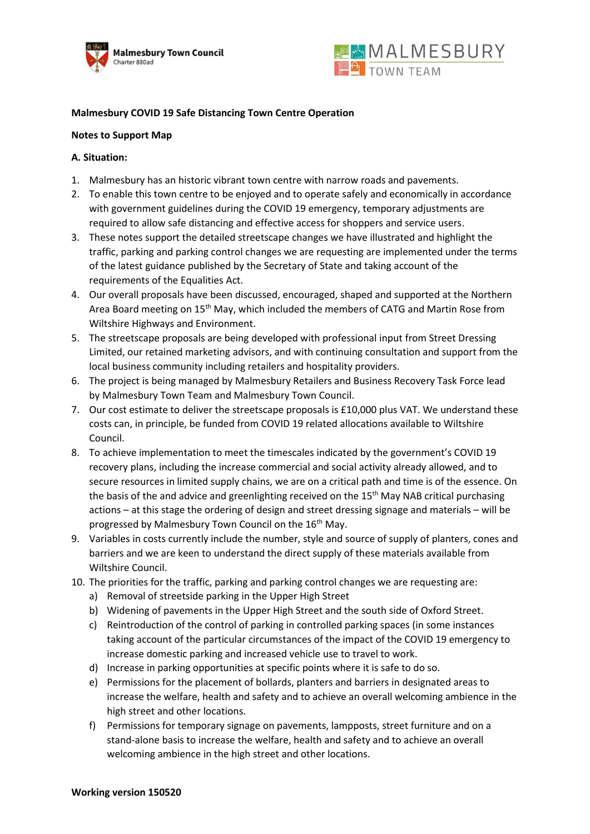



# **Malmesbury COVID 19 Safe Distancing Town Centre Operation**

### **Notes to Support Map**

## **A. Situation:**

- 1. Malmesbury has an historic vibrant town centre with narrow roads and pavements.
- 2. To enable this town centre to be enjoyed and to operate safely and economically in accordance with government guidelines during the COVID 19 emergency, temporary adjustments are required to allow safe distancing and effective access for shoppers and service users.
- 3. These notes support the detailed streetscape changes we have illustrated and highlight the traffic, parking and parking control changes we are requesting are implemented under the terms of the latest guidance published by the Secretary of State and taking account of the requirements of the Equalities Act.
- 4. Our overall proposals have been discussed, encouraged, shaped and supported at the Northern Area Board meeting on 15<sup>th</sup> May, which included the members of CATG and Martin Rose from Wiltshire Highways and Environment.
- 5. The streetscape proposals are being developed with professional input from Street Dressing Limited, our retained marketing advisors, and with continuing consultation and support from the local business community including retailers and hospitality providers.
- 6. The project is being managed by Malmesbury Retailers and Business Recovery Task Force lead by Malmesbury Town Team and Malmesbury Town Council.
- 7. Our cost estimate to deliver the streetscape proposals is £10,000 plus VAT. We understand these costs can, in principle, be funded from COVID 19 related allocations available to Wiltshire Council.
- 8. To achieve implementation to meet the timescales indicated by the government's COVID 19 recovery plans, including the increase commercial and social activity already allowed, and to secure resources in limited supply chains, we are on a critical path and time is of the essence. On the basis of the and advice and greenlighting received on the 15<sup>th</sup> May NAB critical purchasing actions – at this stage the ordering of design and street dressing signage and materials – will be progressed by Malmesbury Town Council on the 16<sup>th</sup> May.
- 9. Variables in costs currently include the number, style and source of supply of planters, cones and barriers and we are keen to understand the direct supply of these materials available from Wiltshire Council.
- 10. The priorities for the traffic, parking and parking control changes we are requesting are:
	- a) Removal of streetside parking in the Upper High Street
	- b) Widening of pavements in the Upper High Street and the south side of Oxford Street.
	- c) Reintroduction of the control of parking in controlled parking spaces (in some instances taking account of the particular circumstances of the impact of the COVID 19 emergency to increase domestic parking and increased vehicle use to travel to work.
	- d) Increase in parking opportunities at specific points where it is safe to do so.
	- e) Permissions for the placement of bollards, planters and barriers in designated areas to increase the welfare, health and safety and to achieve an overall welcoming ambience in the high street and other locations.
	- f) Permissions for temporary signage on pavements, lampposts, street furniture and on a stand-alone basis to increase the welfare, health and safety and to achieve an overall welcoming ambience in the high street and other locations.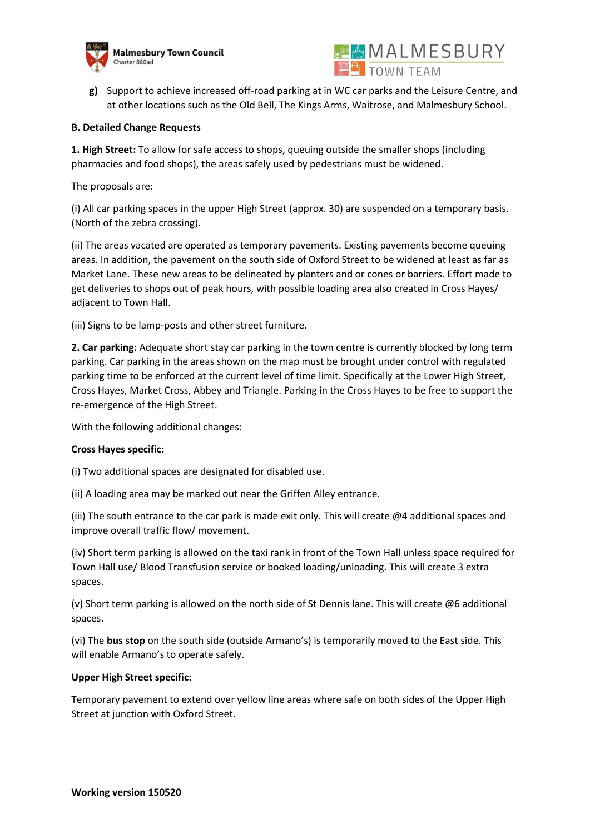



**g)** Support to achieve increased off-road parking at in WC car parks and the Leisure Centre, and at other locations such as the Old Bell, The Kings Arms, Waitrose, and Malmesbury School.

## **B. Detailed Change Requests**

**1. High Street:** To allow for safe access to shops, queuing outside the smaller shops (including pharmacies and food shops), the areas safely used by pedestrians must be widened.

The proposals are:

(i) All car parking spaces in the upper High Street (approx. 30) are suspended on a temporary basis. (North of the zebra crossing).

(ii) The areas vacated are operated as temporary pavements. Existing pavements become queuing areas. In addition, the pavement on the south side of Oxford Street to be widened at least as far as Market Lane. These new areas to be delineated by planters and or cones or barriers. Effort made to get deliveries to shops out of peak hours, with possible loading area also created in Cross Hayes/ adjacent to Town Hall.

(iii) Signs to be lamp-posts and other street furniture.

**2. Car parking:** Adequate short stay car parking in the town centre is currently blocked by long term parking. Car parking in the areas shown on the map must be brought under control with regulated parking time to be enforced at the current level of time limit. Specifically at the Lower High Street, Cross Hayes, Market Cross, Abbey and Triangle. Parking in the Cross Hayes to be free to support the re-emergence of the High Street.

With the following additional changes:

## **Cross Hayes specific:**

(i) Two additional spaces are designated for disabled use.

(ii) A loading area may be marked out near the Griffen Alley entrance.

(iii) The south entrance to the car park is made exit only. This will create @4 additional spaces and improve overall traffic flow/ movement.

(iv) Short term parking is allowed on the taxi rank in front of the Town Hall unless space required for Town Hall use/ Blood Transfusion service or booked loading/unloading. This will create 3 extra spaces.

(v) Short term parking is allowed on the north side of St Dennis lane. This will create @6 additional spaces.

(vi) The **bus stop** on the south side (outside Armano's) is temporarily moved to the East side. This will enable Armano's to operate safely.

## **Upper High Street specific:**

Temporary pavement to extend over yellow line areas where safe on both sides of the Upper High Street at junction with Oxford Street.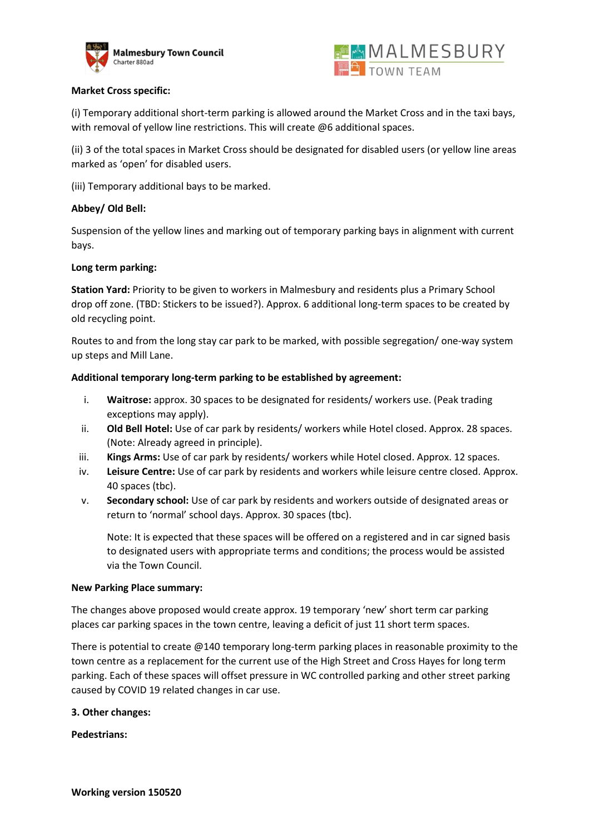



## **Market Cross specific:**

(i) Temporary additional short-term parking is allowed around the Market Cross and in the taxi bays, with removal of yellow line restrictions. This will create @6 additional spaces.

(ii) 3 of the total spaces in Market Cross should be designated for disabled users (or yellow line areas marked as 'open' for disabled users.

(iii) Temporary additional bays to be marked.

#### **Abbey/ Old Bell:**

Suspension of the yellow lines and marking out of temporary parking bays in alignment with current bays.

### **Long term parking:**

**Station Yard:** Priority to be given to workers in Malmesbury and residents plus a Primary School drop off zone. (TBD: Stickers to be issued?). Approx. 6 additional long-term spaces to be created by old recycling point.

Routes to and from the long stay car park to be marked, with possible segregation/ one-way system up steps and Mill Lane.

### **Additional temporary long-term parking to be established by agreement:**

- i. **Waitrose:** approx. 30 spaces to be designated for residents/ workers use. (Peak trading exceptions may apply).
- ii. **Old Bell Hotel:** Use of car park by residents/ workers while Hotel closed. Approx. 28 spaces. (Note: Already agreed in principle).
- iii. **Kings Arms:** Use of car park by residents/ workers while Hotel closed. Approx. 12 spaces.
- iv. **Leisure Centre:** Use of car park by residents and workers while leisure centre closed. Approx. 40 spaces (tbc).
- v. **Secondary school:** Use of car park by residents and workers outside of designated areas or return to 'normal' school days. Approx. 30 spaces (tbc).

Note: It is expected that these spaces will be offered on a registered and in car signed basis to designated users with appropriate terms and conditions; the process would be assisted via the Town Council.

#### **New Parking Place summary:**

The changes above proposed would create approx. 19 temporary 'new' short term car parking places car parking spaces in the town centre, leaving a deficit of just 11 short term spaces.

There is potential to create  $@140$  temporary long-term parking places in reasonable proximity to the town centre as a replacement for the current use of the High Street and Cross Hayes for long term parking. Each of these spaces will offset pressure in WC controlled parking and other street parking caused by COVID 19 related changes in car use.

#### **3. Other changes:**

**Pedestrians:**